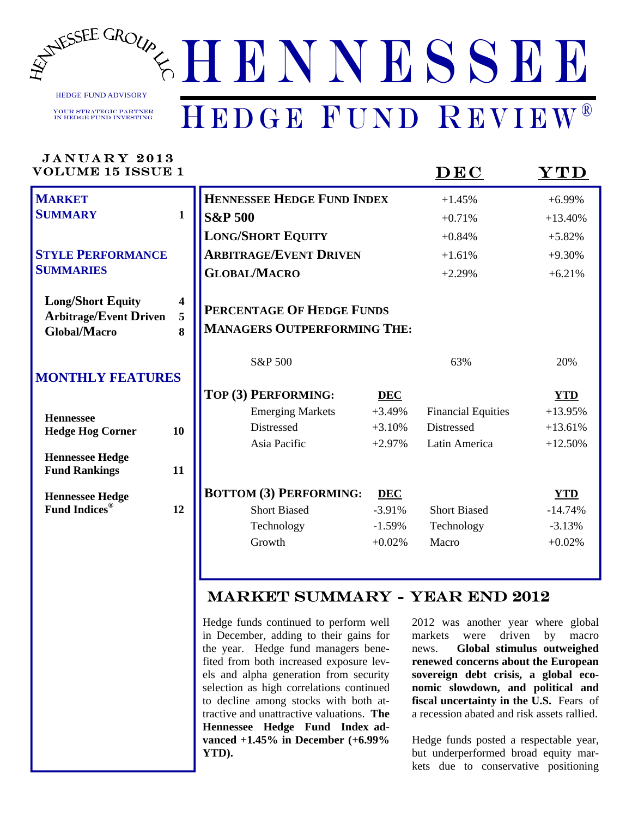

HEDGE FUND ADVISORY

Your Strategic Partner in Hedge Fund Investing

## HENNESSEE HEDGE FUND REVIEW®

| <b>JANUARY 2013</b><br><b>VOLUME 15 ISSUE 1</b>           |              |                                       |            | DEC                       | $\bold{YTD}$ |
|-----------------------------------------------------------|--------------|---------------------------------------|------------|---------------------------|--------------|
| <b>MARKET</b>                                             |              | <b>HENNESSEE HEDGE FUND INDEX</b>     |            | $+1.45%$                  | $+6.99%$     |
| <b>SUMMARY</b>                                            | $\mathbf{1}$ | <b>S&amp;P 500</b>                    |            | $+0.71%$                  | $+13.40%$    |
|                                                           |              | <b>LONG/SHORT EQUITY</b>              |            | $+0.84%$                  | $+5.82%$     |
| <b>STYLE PERFORMANCE</b>                                  |              | <b>ARBITRAGE/EVENT DRIVEN</b>         |            | $+1.61%$                  | $+9.30%$     |
| <b>SUMMARIES</b>                                          |              | <b>GLOBAL/MACRO</b>                   |            | $+2.29%$                  | $+6.21%$     |
| <b>Long/Short Equity</b><br><b>Arbitrage/Event Driven</b> | 4<br>5       | PERCENTAGE OF HEDGE FUNDS             |            |                           |              |
| <b>Global/Macro</b>                                       | 8            | <b>MANAGERS OUTPERFORMING THE:</b>    |            |                           |              |
| <b>MONTHLY FEATURES</b>                                   |              | S&P 500                               |            | 63%                       | 20%          |
|                                                           |              | TOP (3) PERFORMING:                   | <b>DEC</b> |                           | <b>YTD</b>   |
| <b>Hennessee</b>                                          |              | <b>Emerging Markets</b>               | $+3.49%$   | <b>Financial Equities</b> | $+13.95%$    |
| <b>Hedge Hog Corner</b>                                   | 10           | Distressed                            | $+3.10%$   | <b>Distressed</b>         | $+13.61%$    |
|                                                           |              | Asia Pacific                          | $+2.97%$   | Latin America             | $+12.50%$    |
| <b>Hennessee Hedge</b><br><b>Fund Rankings</b>            | 11           |                                       |            |                           |              |
| <b>Hennessee Hedge</b>                                    |              | <b>BOTTOM (3) PERFORMING:</b>         | <b>DEC</b> |                           | <b>YTD</b>   |
| <b>Fund Indices®</b>                                      | 12           | <b>Short Biased</b>                   | $-3.91%$   | <b>Short Biased</b>       | $-14.74%$    |
|                                                           |              | Technology                            | $-1.59%$   | Technology                | $-3.13%$     |
|                                                           |              | Growth                                | $+0.02%$   | Macro                     | $+0.02%$     |
|                                                           |              |                                       |            |                           |              |
|                                                           |              | <b>MARKET SUMMARY - YEAR END 2012</b> |            |                           |              |

HENNESSEE

*WWW.HENNESSEEGROUP.COM* 

Hedge funds continued to perform well in December, adding to their gains for the year. Hedge fund managers benefited from both increased exposure levels and alpha generation from security selection as high correlations continued to decline among stocks with both attractive and unattractive valuations. **The Hennessee Hedge Fund Index advanced +1.45% in December (+6.99% YTD).** 

2012 was another year where global markets were driven by macro news. **Global stimulus outweighed renewed concerns about the European sovereign debt crisis, a global economic slowdown, and political and fiscal uncertainty in the U.S.** Fears of a recession abated and risk assets rallied.

Hedge funds posted a respectable year, but underperformed broad equity markets due to conservative positioning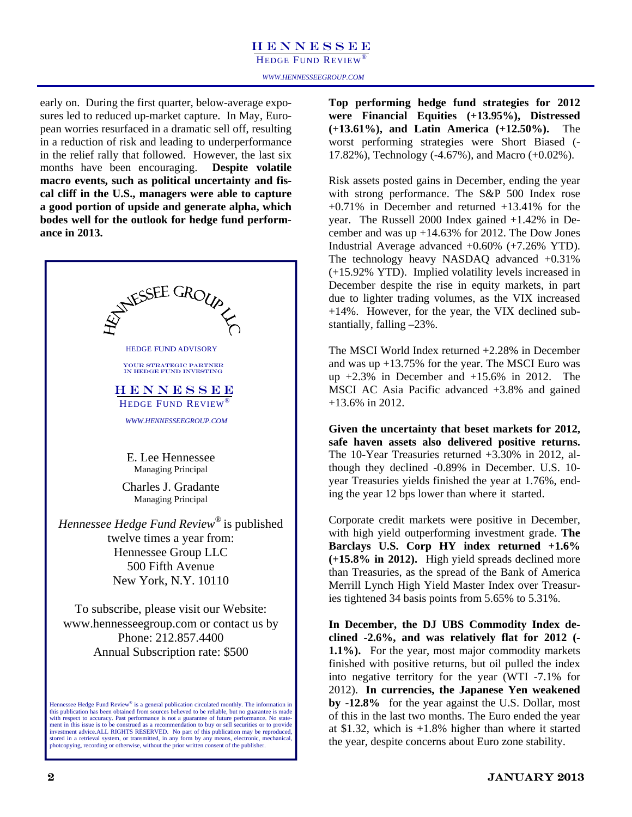### HENNESSEE

HEDGE FUND REVIEW<sup>®</sup>

early on. During the first quarter, below-average exposures led to reduced up-market capture. In May, European worries resurfaced in a dramatic sell off, resulting in a reduction of risk and leading to underperformance in the relief rally that followed. However, the last six months have been encouraging. **Despite volatile macro events, such as political uncertainty and fiscal cliff in the U.S., managers were able to capture a good portion of upside and generate alpha, which bodes well for the outlook for hedge fund performance in 2013.** 



**Top performing hedge fund strategies for 2012 were Financial Equities (+13.95%), Distressed (+13.61%), and Latin America (+12.50%).** The worst performing strategies were Short Biased (- 17.82%), Technology (-4.67%), and Macro (+0.02%).

Risk assets posted gains in December, ending the year with strong performance. The S&P 500 Index rose +0.71% in December and returned +13.41% for the year. The Russell 2000 Index gained +1.42% in December and was up +14.63% for 2012. The Dow Jones Industrial Average advanced +0.60% (+7.26% YTD). The technology heavy NASDAQ advanced +0.31% (+15.92% YTD). Implied volatility levels increased in December despite the rise in equity markets, in part due to lighter trading volumes, as the VIX increased +14%. However, for the year, the VIX declined substantially, falling –23%.

The MSCI World Index returned +2.28% in December and was up +13.75% for the year. The MSCI Euro was up  $+2.3\%$  in December and  $+15.6\%$  in 2012. The MSCI AC Asia Pacific advanced +3.8% and gained +13.6% in 2012.

**Given the uncertainty that beset markets for 2012, safe haven assets also delivered positive returns.**  The 10-Year Treasuries returned +3.30% in 2012, although they declined -0.89% in December. U.S. 10 year Treasuries yields finished the year at 1.76%, ending the year 12 bps lower than where it started.

Corporate credit markets were positive in December, with high yield outperforming investment grade. **The Barclays U.S. Corp HY index returned +1.6% (+15.8% in 2012).** High yield spreads declined more than Treasuries, as the spread of the Bank of America Merrill Lynch High Yield Master Index over Treasuries tightened 34 basis points from 5.65% to 5.31%.

**In December, the DJ UBS Commodity Index declined -2.6%, and was relatively flat for 2012 (- 1.1%).** For the year, most major commodity markets finished with positive returns, but oil pulled the index into negative territory for the year (WTI -7.1% for 2012). **In currencies, the Japanese Yen weakened by -12.8%** for the year against the U.S. Dollar, most of this in the last two months. The Euro ended the year at \$1.32, which is +1.8% higher than where it started the year, despite concerns about Euro zone stability.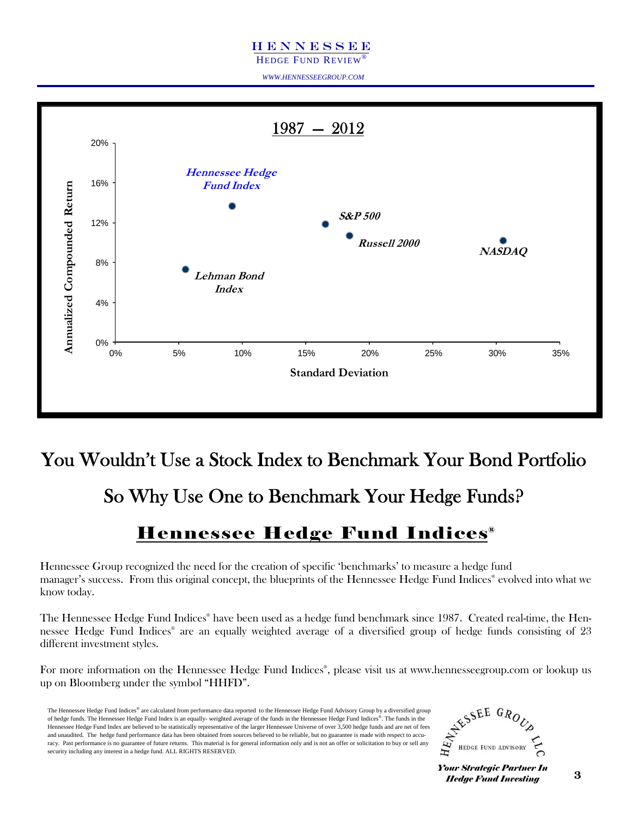### HENNESSEE

HEDGE FUND REVIEW®

*WWW.HENNESSEEGROUP.COM* 



### You Wouldn't Use a Stock Index to Benchmark Your Bond Portfolio

So Why Use One to Benchmark Your Hedge Funds?

### Hennessee Hedge Fund Indices®

Hennessee Group recognized the need for the creation of specific 'benchmarks' to measure a hedge fund manager's success. From this original concept, the blueprints of the Hennessee Hedge Fund Indices® evolved into what we know today.

The Hennessee Hedge Fund Indices® have been used as a hedge fund benchmark since 1987. Created real-time, the Hennessee Hedge Fund Indices® are an equally weighted average of a diversified group of hedge funds consisting of 23 different investment styles.

For more information on the Hennessee Hedge Fund Indices® , please visit us at www.hennesseegroup.com or lookup us up on Bloomberg under the symbol "HHFD".

The Hennessee Hedge Fund Indices® are calculated from performance data reported to the Hennessee Hedge Fund Advisory Group by a diversified group of hedge funds. The Hennessee Hedge Fund Index is an equally- weighted average of the funds in the Hennessee Hedge Fund Indices®. The funds in the Hennessee Hedge Fund Index are believed to be statistically representative of the larger Hennessee Universe of over 3,500 hedge funds and are net of fees and unaudited. The hedge fund performance data has been obtained from sources believed to be reliable, but no guarantee is made with respect to accuracy. Past performance is no guarantee of future returns. This material is for general information only and is not an offer or solicitation to buy or sell any security including any interest in a hedge fund. ALL RIGHTS RESERVED.

ESSEE GROUP HEDGE FUND ADVISORY

**Your Strategic Partner In** *Hedge Fund Investing*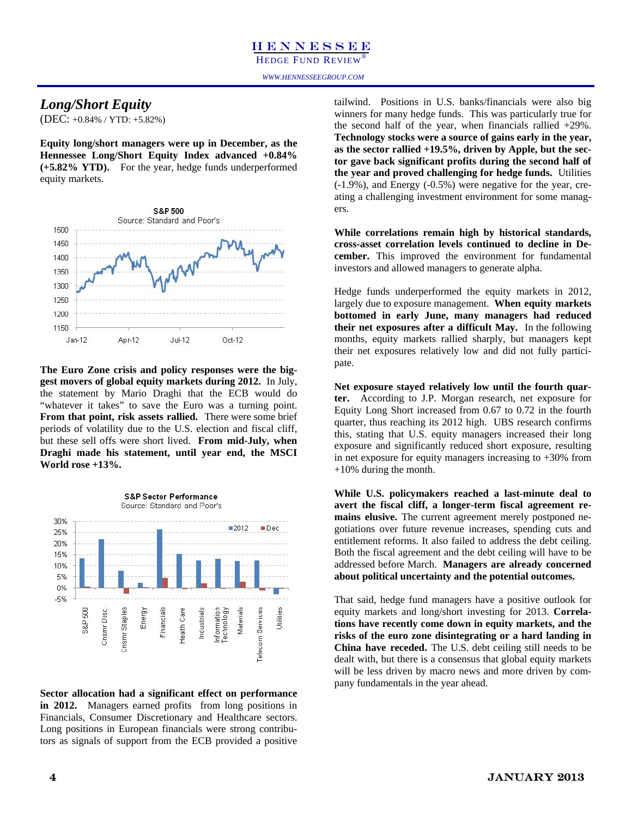*WWW.HENNESSEEGROUP.COM* 

### *Long/Short Equity*

(DEC: +0.84% / YTD: +5.82%)

**Equity long/short managers were up in December, as the Hennessee Long/Short Equity Index advanced +0.84% (+5.82% YTD).** For the year, hedge funds underperformed equity markets.



**The Euro Zone crisis and policy responses were the biggest movers of global equity markets during 2012.** In July, the statement by Mario Draghi that the ECB would do "whatever it takes" to save the Euro was a turning point. **From that point, risk assets rallied.** There were some brief periods of volatility due to the U.S. election and fiscal cliff, but these sell offs were short lived. **From mid-July, when Draghi made his statement, until year end, the MSCI World rose +13%.** 



**Sector allocation had a significant effect on performance in 2012.** Managers earned profits from long positions in Financials, Consumer Discretionary and Healthcare sectors. Long positions in European financials were strong contributors as signals of support from the ECB provided a positive tailwind. Positions in U.S. banks/financials were also big winners for many hedge funds. This was particularly true for the second half of the year, when financials rallied +29%. **Technology stocks were a source of gains early in the year, as the sector rallied +19.5%, driven by Apple, but the sector gave back significant profits during the second half of the year and proved challenging for hedge funds.** Utilities (-1.9%), and Energy (-0.5%) were negative for the year, creating a challenging investment environment for some managers.

**While correlations remain high by historical standards, cross-asset correlation levels continued to decline in December.** This improved the environment for fundamental investors and allowed managers to generate alpha.

Hedge funds underperformed the equity markets in 2012, largely due to exposure management. **When equity markets bottomed in early June, many managers had reduced their net exposures after a difficult May.** In the following months, equity markets rallied sharply, but managers kept their net exposures relatively low and did not fully participate.

**Net exposure stayed relatively low until the fourth quarter.** According to J.P. Morgan research, net exposure for Equity Long Short increased from 0.67 to 0.72 in the fourth quarter, thus reaching its 2012 high. UBS research confirms this, stating that U.S. equity managers increased their long exposure and significantly reduced short exposure, resulting in net exposure for equity managers increasing to +30% from +10% during the month.

**While U.S. policymakers reached a last-minute deal to avert the fiscal cliff, a longer-term fiscal agreement remains elusive.** The current agreement merely postponed negotiations over future revenue increases, spending cuts and entitlement reforms. It also failed to address the debt ceiling. Both the fiscal agreement and the debt ceiling will have to be addressed before March. **Managers are already concerned about political uncertainty and the potential outcomes.** 

That said, hedge fund managers have a positive outlook for equity markets and long/short investing for 2013. **Correlations have recently come down in equity markets, and the risks of the euro zone disintegrating or a hard landing in China have receded.** The U.S. debt ceiling still needs to be dealt with, but there is a consensus that global equity markets will be less driven by macro news and more driven by company fundamentals in the year ahead.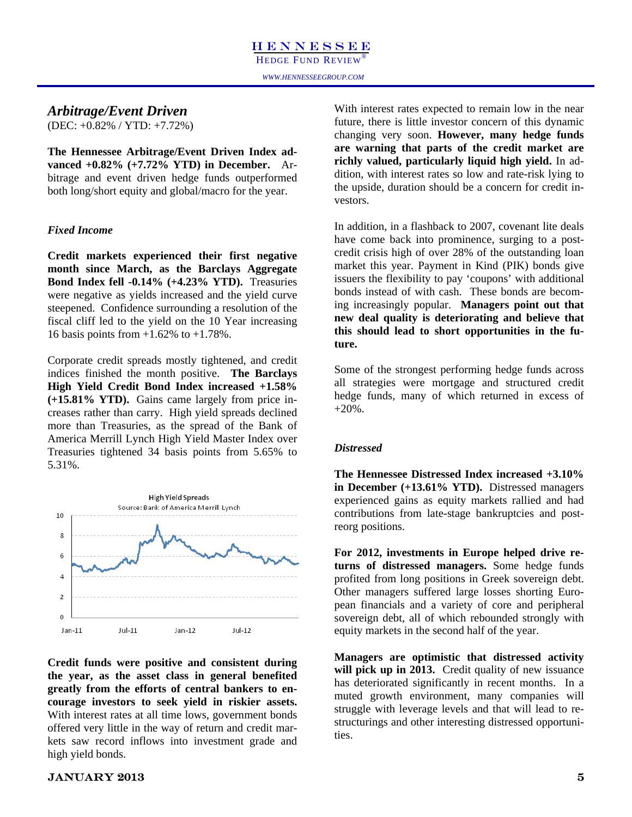### *Arbitrage/Event Driven*

(DEC: +0.82% / YTD: +7.72%)

**The Hennessee Arbitrage/Event Driven Index advanced +0.82% (+7.72% YTD) in December.** Arbitrage and event driven hedge funds outperformed both long/short equity and global/macro for the year.

### *Fixed Income*

**Credit markets experienced their first negative month since March, as the Barclays Aggregate Bond Index fell -0.14% (+4.23% YTD).** Treasuries were negative as yields increased and the yield curve steepened. Confidence surrounding a resolution of the fiscal cliff led to the yield on the 10 Year increasing 16 basis points from +1.62% to +1.78%.

Corporate credit spreads mostly tightened, and credit indices finished the month positive. **The Barclays High Yield Credit Bond Index increased +1.58% (+15.81% YTD).** Gains came largely from price increases rather than carry. High yield spreads declined more than Treasuries, as the spread of the Bank of America Merrill Lynch High Yield Master Index over Treasuries tightened 34 basis points from 5.65% to 5.31%.



**Credit funds were positive and consistent during the year, as the asset class in general benefited greatly from the efforts of central bankers to encourage investors to seek yield in riskier assets.**  With interest rates at all time lows, government bonds offered very little in the way of return and credit markets saw record inflows into investment grade and high yield bonds.

With interest rates expected to remain low in the near future, there is little investor concern of this dynamic changing very soon. **However, many hedge funds are warning that parts of the credit market are richly valued, particularly liquid high yield.** In addition, with interest rates so low and rate-risk lying to the upside, duration should be a concern for credit investors.

In addition, in a flashback to 2007, covenant lite deals have come back into prominence, surging to a postcredit crisis high of over 28% of the outstanding loan market this year. Payment in Kind (PIK) bonds give issuers the flexibility to pay 'coupons' with additional bonds instead of with cash. These bonds are becoming increasingly popular. **Managers point out that new deal quality is deteriorating and believe that this should lead to short opportunities in the future.** 

Some of the strongest performing hedge funds across all strategies were mortgage and structured credit hedge funds, many of which returned in excess of  $+20%$ .

### *Distressed*

**The Hennessee Distressed Index increased +3.10% in December (+13.61% YTD).** Distressed managers experienced gains as equity markets rallied and had contributions from late-stage bankruptcies and postreorg positions.

**For 2012, investments in Europe helped drive returns of distressed managers.** Some hedge funds profited from long positions in Greek sovereign debt. Other managers suffered large losses shorting European financials and a variety of core and peripheral sovereign debt, all of which rebounded strongly with equity markets in the second half of the year.

**Managers are optimistic that distressed activity**  will pick up in 2013. Credit quality of new issuance has deteriorated significantly in recent months. In a muted growth environment, many companies will struggle with leverage levels and that will lead to restructurings and other interesting distressed opportunities.

### $JANUARY 2013$  5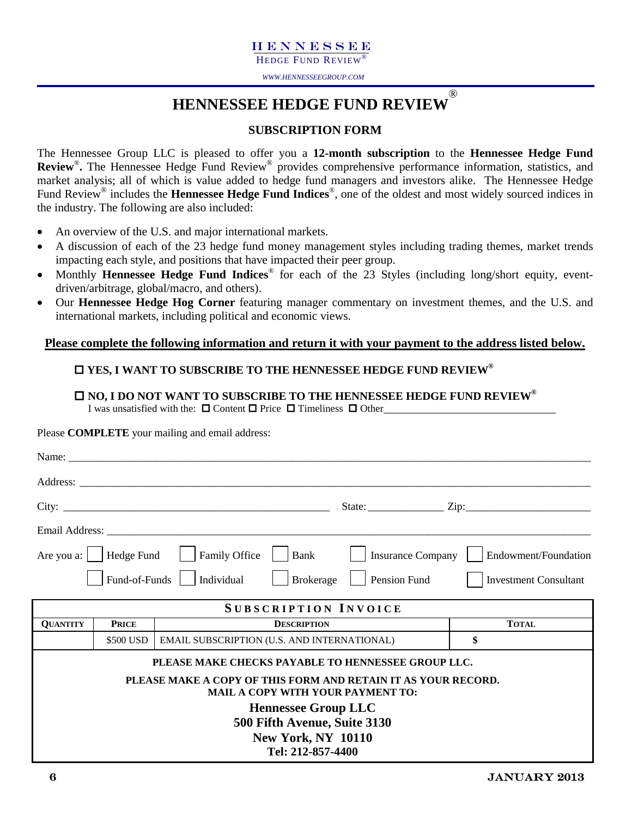### HENNESSEE

HEDGE FUND REVIEW

*WWW.HENNESSEEGROUP.COM* 

### **HENNESSEE HEDGE FUND REVIEW** ®

### **SUBSCRIPTION FORM**

The Hennessee Group LLC is pleased to offer you a **12-month subscription** to the **Hennessee Hedge Fund Review**®**.** The Hennessee Hedge Fund Review® provides comprehensive performance information, statistics, and market analysis; all of which is value added to hedge fund managers and investors alike. The Hennessee Hedge Fund Review® includes the **Hennessee Hedge Fund Indices**®, one of the oldest and most widely sourced indices in the industry. The following are also included:

- An overview of the U.S. and major international markets.
- A discussion of each of the 23 hedge fund money management styles including trading themes, market trends impacting each style, and positions that have impacted their peer group.
- Monthly **Hennessee Hedge Fund Indices**® for each of the 23 Styles (including long/short equity, eventdriven/arbitrage, global/macro, and others).
- Our **Hennessee Hedge Hog Corner** featuring manager commentary on investment themes, and the U.S. and international markets, including political and economic views.

### **Please complete the following information and return it with your payment to the address listed below.**

### **YES, I WANT TO SUBSCRIBE TO THE HENNESSEE HEDGE FUND REVIEW®**

### **NO, I DO NOT WANT TO SUBSCRIBE TO THE HENNESSEE HEDGE FUND REVIEW® I** was unsatisfied with the:  $\Box$  Content  $\Box$  Price  $\Box$  Timeliness  $\Box$  Other

Please **COMPLETE** your mailing and email address:

|                 |               | Name: $\frac{1}{2}$                                                                                       |                                                                                                              |                   |                                          |                              |
|-----------------|---------------|-----------------------------------------------------------------------------------------------------------|--------------------------------------------------------------------------------------------------------------|-------------------|------------------------------------------|------------------------------|
|                 |               |                                                                                                           |                                                                                                              |                   |                                          |                              |
|                 |               |                                                                                                           |                                                                                                              |                   | State: $\frac{\text{Zip:}}{\text{Zip:}}$ |                              |
|                 |               |                                                                                                           |                                                                                                              |                   |                                          |                              |
|                 |               | Are you a:     Hedge Fund       Family Office                                                             | Bank                                                                                                         | Insurance Company |                                          | Endowment/Foundation         |
|                 | Fund-of-Funds | Individual                                                                                                | <b>Brokerage</b>                                                                                             | Pension Fund      |                                          | <b>Investment Consultant</b> |
|                 |               | <b>SUBSCRIPTION INVOICE</b>                                                                               |                                                                                                              |                   |                                          |                              |
| <b>QUANTITY</b> | <b>PRICE</b>  |                                                                                                           | <b>DESCRIPTION</b>                                                                                           |                   | <b>TOTAL</b>                             |                              |
|                 | \$500 USD     | EMAIL SUBSCRIPTION (U.S. AND INTERNATIONAL)                                                               |                                                                                                              |                   | \$                                       |                              |
|                 |               | PLEASE MAKE CHECKS PAYABLE TO HENNESSEE GROUP LLC.                                                        |                                                                                                              |                   |                                          |                              |
|                 |               | PLEASE MAKE A COPY OF THIS FORM AND RETAIN IT AS YOUR RECORD.<br><b>MAIL A COPY WITH YOUR PAYMENT TO:</b> |                                                                                                              |                   |                                          |                              |
|                 |               |                                                                                                           | <b>Hennessee Group LLC</b><br>500 Fifth Avenue, Suite 3130<br><b>New York, NY 10110</b><br>Tel: 212-857-4400 |                   |                                          |                              |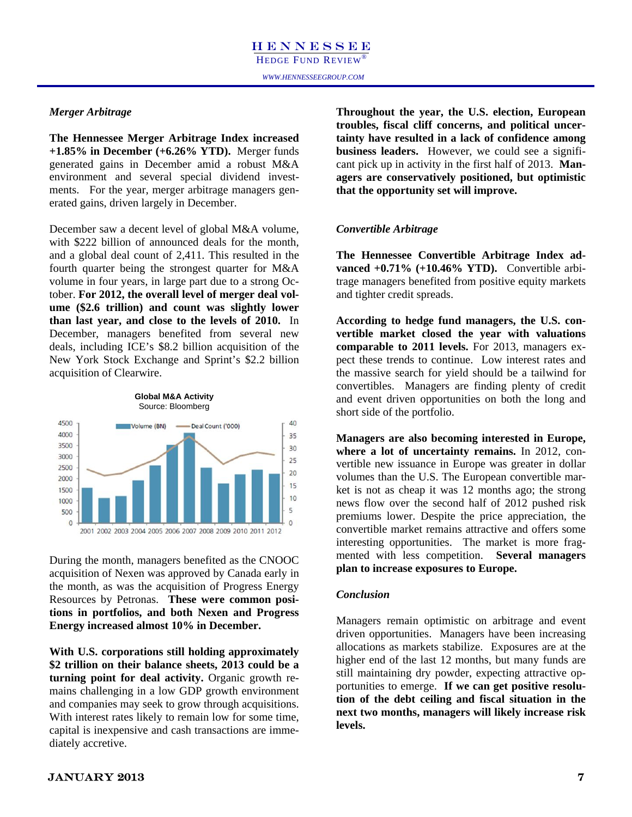### *Merger Arbitrage*

**The Hennessee Merger Arbitrage Index increased +1.85% in December (+6.26% YTD).** Merger funds generated gains in December amid a robust M&A environment and several special dividend investments. For the year, merger arbitrage managers generated gains, driven largely in December.

December saw a decent level of global M&A volume, with \$222 billion of announced deals for the month, and a global deal count of 2,411. This resulted in the fourth quarter being the strongest quarter for M&A volume in four years, in large part due to a strong October. **For 2012, the overall level of merger deal volume (\$2.6 trillion) and count was slightly lower than last year, and close to the levels of 2010.** In December, managers benefited from several new deals, including ICE's \$8.2 billion acquisition of the New York Stock Exchange and Sprint's \$2.2 billion acquisition of Clearwire.



During the month, managers benefited as the CNOOC acquisition of Nexen was approved by Canada early in the month, as was the acquisition of Progress Energy Resources by Petronas. **These were common positions in portfolios, and both Nexen and Progress Energy increased almost 10% in December.** 

**With U.S. corporations still holding approximately \$2 trillion on their balance sheets, 2013 could be a turning point for deal activity.** Organic growth remains challenging in a low GDP growth environment and companies may seek to grow through acquisitions. With interest rates likely to remain low for some time, capital is inexpensive and cash transactions are immediately accretive.

**Throughout the year, the U.S. election, European troubles, fiscal cliff concerns, and political uncertainty have resulted in a lack of confidence among business leaders.** However, we could see a significant pick up in activity in the first half of 2013. **Managers are conservatively positioned, but optimistic that the opportunity set will improve.** 

### *Convertible Arbitrage*

**The Hennessee Convertible Arbitrage Index advanced +0.71% (+10.46% YTD).** Convertible arbitrage managers benefited from positive equity markets and tighter credit spreads.

**According to hedge fund managers, the U.S. convertible market closed the year with valuations comparable to 2011 levels.** For 2013, managers expect these trends to continue. Low interest rates and the massive search for yield should be a tailwind for convertibles. Managers are finding plenty of credit and event driven opportunities on both the long and short side of the portfolio.

**Managers are also becoming interested in Europe, where a lot of uncertainty remains.** In 2012, convertible new issuance in Europe was greater in dollar volumes than the U.S. The European convertible market is not as cheap it was 12 months ago; the strong news flow over the second half of 2012 pushed risk premiums lower. Despite the price appreciation, the convertible market remains attractive and offers some interesting opportunities. The market is more fragmented with less competition. **Several managers plan to increase exposures to Europe.** 

### *Conclusion*

Managers remain optimistic on arbitrage and event driven opportunities. Managers have been increasing allocations as markets stabilize. Exposures are at the higher end of the last 12 months, but many funds are still maintaining dry powder, expecting attractive opportunities to emerge. **If we can get positive resolution of the debt ceiling and fiscal situation in the next two months, managers will likely increase risk levels.**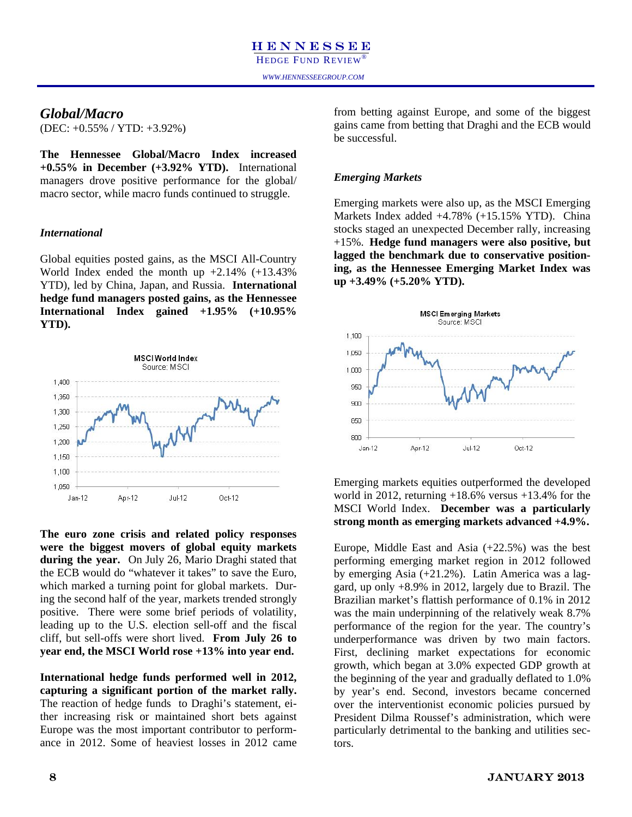### *Global/Macro*

(DEC: +0.55% / YTD: +3.92%)

**The Hennessee Global/Macro Index increased +0.55% in December (+3.92% YTD).** International managers drove positive performance for the global/ macro sector, while macro funds continued to struggle.

### *International*

Global equities posted gains, as the MSCI All-Country World Index ended the month up +2.14% (+13.43% YTD), led by China, Japan, and Russia. **International hedge fund managers posted gains, as the Hennessee International Index gained +1.95% (+10.95% YTD).** 



**The euro zone crisis and related policy responses were the biggest movers of global equity markets during the year.** On July 26, Mario Draghi stated that the ECB would do "whatever it takes" to save the Euro, which marked a turning point for global markets. During the second half of the year, markets trended strongly positive. There were some brief periods of volatility, leading up to the U.S. election sell-off and the fiscal cliff, but sell-offs were short lived. **From July 26 to year end, the MSCI World rose +13% into year end.** 

**International hedge funds performed well in 2012, capturing a significant portion of the market rally.**  The reaction of hedge funds to Draghi's statement, either increasing risk or maintained short bets against Europe was the most important contributor to performance in 2012. Some of heaviest losses in 2012 came

from betting against Europe, and some of the biggest gains came from betting that Draghi and the ECB would be successful.

### *Emerging Markets*

Emerging markets were also up, as the MSCI Emerging Markets Index added +4.78% (+15.15% YTD). China stocks staged an unexpected December rally, increasing +15%. **Hedge fund managers were also positive, but lagged the benchmark due to conservative positioning, as the Hennessee Emerging Market Index was up +3.49% (+5.20% YTD).** 



Emerging markets equities outperformed the developed world in 2012, returning  $+18.6\%$  versus  $+13.4\%$  for the MSCI World Index. **December was a particularly strong month as emerging markets advanced +4.9%.** 

Europe, Middle East and Asia (+22.5%) was the best performing emerging market region in 2012 followed by emerging Asia (+21.2%). Latin America was a laggard, up only +8.9% in 2012, largely due to Brazil. The Brazilian market's flattish performance of 0.1% in 2012 was the main underpinning of the relatively weak 8.7% performance of the region for the year. The country's underperformance was driven by two main factors. First, declining market expectations for economic growth, which began at 3.0% expected GDP growth at the beginning of the year and gradually deflated to 1.0% by year's end. Second, investors became concerned over the interventionist economic policies pursued by President Dilma Roussef's administration, which were particularly detrimental to the banking and utilities sectors.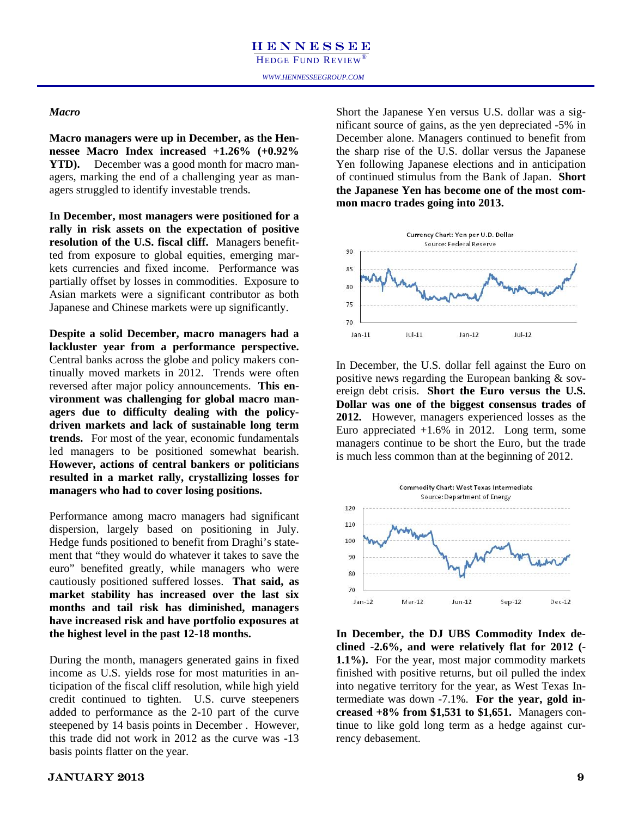### *Macro*

**Macro managers were up in December, as the Hennessee Macro Index increased +1.26% (+0.92% YTD).** December was a good month for macro managers, marking the end of a challenging year as managers struggled to identify investable trends.

**In December, most managers were positioned for a rally in risk assets on the expectation of positive resolution of the U.S. fiscal cliff.** Managers benefitted from exposure to global equities, emerging markets currencies and fixed income. Performance was partially offset by losses in commodities. Exposure to Asian markets were a significant contributor as both Japanese and Chinese markets were up significantly.

**Despite a solid December, macro managers had a lackluster year from a performance perspective.**  Central banks across the globe and policy makers continually moved markets in 2012. Trends were often reversed after major policy announcements. **This environment was challenging for global macro managers due to difficulty dealing with the policydriven markets and lack of sustainable long term trends.** For most of the year, economic fundamentals led managers to be positioned somewhat bearish. **However, actions of central bankers or politicians resulted in a market rally, crystallizing losses for managers who had to cover losing positions.** 

Performance among macro managers had significant dispersion, largely based on positioning in July. Hedge funds positioned to benefit from Draghi's statement that "they would do whatever it takes to save the euro" benefited greatly, while managers who were cautiously positioned suffered losses. **That said, as market stability has increased over the last six months and tail risk has diminished, managers have increased risk and have portfolio exposures at the highest level in the past 12-18 months.**

During the month, managers generated gains in fixed income as U.S. yields rose for most maturities in anticipation of the fiscal cliff resolution, while high yield credit continued to tighten. U.S. curve steepeners added to performance as the 2-10 part of the curve steepened by 14 basis points in December . However, this trade did not work in 2012 as the curve was -13 basis points flatter on the year.

Short the Japanese Yen versus U.S. dollar was a significant source of gains, as the yen depreciated -5% in December alone. Managers continued to benefit from the sharp rise of the U.S. dollar versus the Japanese Yen following Japanese elections and in anticipation of continued stimulus from the Bank of Japan. **Short the Japanese Yen has become one of the most common macro trades going into 2013.** 



In December, the U.S. dollar fell against the Euro on positive news regarding the European banking & sovereign debt crisis. **Short the Euro versus the U.S. Dollar was one of the biggest consensus trades of 2012.** However, managers experienced losses as the Euro appreciated  $+1.6\%$  in 2012. Long term, some managers continue to be short the Euro, but the trade is much less common than at the beginning of 2012.



**In December, the DJ UBS Commodity Index declined -2.6%, and were relatively flat for 2012 (- 1.1%).** For the year, most major commodity markets finished with positive returns, but oil pulled the index into negative territory for the year, as West Texas Intermediate was down -7.1%. **For the year, gold increased +8% from \$1,531 to \$1,651.** Managers continue to like gold long term as a hedge against currency debasement.

### $JANUARY 2013$  9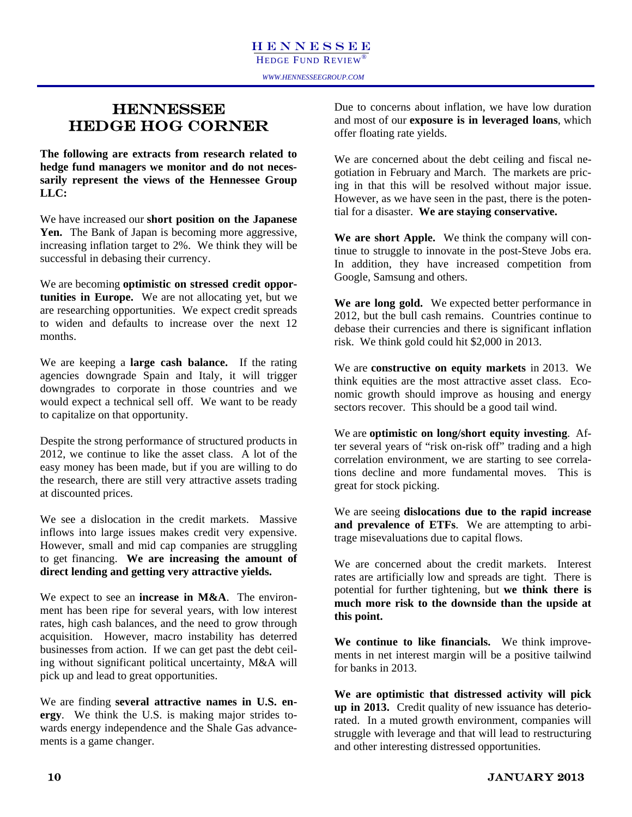### **HENNESSEE** HEDGE HOG CORNER

**The following are extracts from research related to hedge fund managers we monitor and do not necessarily represent the views of the Hennessee Group LLC:** 

We have increased our **short position on the Japanese**  Yen. The Bank of Japan is becoming more aggressive, increasing inflation target to 2%. We think they will be successful in debasing their currency.

We are becoming **optimistic on stressed credit opportunities in Europe.** We are not allocating yet, but we are researching opportunities. We expect credit spreads to widen and defaults to increase over the next 12 months.

We are keeping a **large cash balance.** If the rating agencies downgrade Spain and Italy, it will trigger downgrades to corporate in those countries and we would expect a technical sell off. We want to be ready to capitalize on that opportunity.

Despite the strong performance of structured products in 2012, we continue to like the asset class. A lot of the easy money has been made, but if you are willing to do the research, there are still very attractive assets trading at discounted prices.

We see a dislocation in the credit markets. Massive inflows into large issues makes credit very expensive. However, small and mid cap companies are struggling to get financing. **We are increasing the amount of direct lending and getting very attractive yields.**

We expect to see an **increase in M&A**. The environment has been ripe for several years, with low interest rates, high cash balances, and the need to grow through acquisition. However, macro instability has deterred businesses from action. If we can get past the debt ceiling without significant political uncertainty, M&A will pick up and lead to great opportunities.

We are finding **several attractive names in U.S. energy**. We think the U.S. is making major strides towards energy independence and the Shale Gas advancements is a game changer.

Due to concerns about inflation, we have low duration and most of our **exposure is in leveraged loans**, which offer floating rate yields.

We are concerned about the debt ceiling and fiscal negotiation in February and March. The markets are pricing in that this will be resolved without major issue. However, as we have seen in the past, there is the potential for a disaster. **We are staying conservative.**

**We are short Apple.** We think the company will continue to struggle to innovate in the post-Steve Jobs era. In addition, they have increased competition from Google, Samsung and others.

**We are long gold.** We expected better performance in 2012, but the bull cash remains. Countries continue to debase their currencies and there is significant inflation risk. We think gold could hit \$2,000 in 2013.

We are **constructive on equity markets** in 2013. We think equities are the most attractive asset class. Economic growth should improve as housing and energy sectors recover. This should be a good tail wind.

We are **optimistic on long/short equity investing**. After several years of "risk on-risk off" trading and a high correlation environment, we are starting to see correlations decline and more fundamental moves. This is great for stock picking.

We are seeing **dislocations due to the rapid increase and prevalence of ETFs**. We are attempting to arbitrage misevaluations due to capital flows.

We are concerned about the credit markets. Interest rates are artificially low and spreads are tight. There is potential for further tightening, but **we think there is much more risk to the downside than the upside at this point.** 

**We continue to like financials.** We think improvements in net interest margin will be a positive tailwind for banks in 2013.

**We are optimistic that distressed activity will pick up in 2013.** Credit quality of new issuance has deteriorated. In a muted growth environment, companies will struggle with leverage and that will lead to restructuring and other interesting distressed opportunities.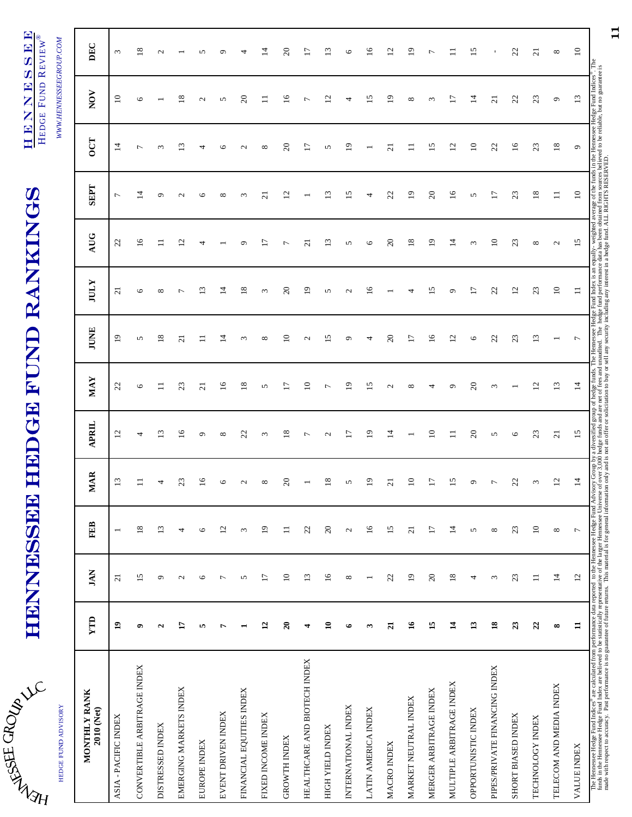| Š          |  |
|------------|--|
| <b>SFE</b> |  |
|            |  |

HEDGE FUND ADVISORY

HEDGE FUND ADVISORY

# HENNESSEE HEDGE FUND RANKINGS HENNESSEE HEDGE FUND RANKINGS

HENNESSEE HENNESSEE HEDGE FUND REVIEW® HEDGE FUND REVIEW®

WWW.HENNESSEEGROUP.COM *WWW.HENNESSEEGROUP.COM* 

| MONTHLY RANK<br>2010 (Net)                                                                                                                                                                                                     | YTD                | <b>JAN</b>        | <b>FEB</b>               | <b>MAR</b>                   | <b>APRIL</b>      | <b>MAY</b>      | <b>JUNE</b>       | <b>IULY</b>       | <b>AUG</b>      | <b>SEPT</b>       | <b>OCT</b>      | NOV               | DEC                       |
|--------------------------------------------------------------------------------------------------------------------------------------------------------------------------------------------------------------------------------|--------------------|-------------------|--------------------------|------------------------------|-------------------|-----------------|-------------------|-------------------|-----------------|-------------------|-----------------|-------------------|---------------------------|
| ASIA - PACIFIC INDEX                                                                                                                                                                                                           | $\mathbf{a}$       | $\overline{c}$    | $\overline{\phantom{0}}$ | 13                           | 12                | 22              | $\overline{19}$   | $\overline{c}$    | 22              | $\overline{ }$    | $\overline{1}$  | $\overline{10}$   | $\epsilon$                |
| CONVERTIBLE ARBITRAGE INDEX                                                                                                                                                                                                    | $\bullet$          | 15                | 18                       |                              | 4                 | O               | n                 | O                 | $\overline{16}$ | 4                 |                 | P                 | $\infty$                  |
| DISTRESSED INDEX                                                                                                                                                                                                               | $\mathbf{\hat{z}}$ | $\sigma$          | 13                       |                              | $\frac{3}{2}$     | Ξ               | $\frac{8}{18}$    | ${}^{\circ}$      | $\Xi$           | $\circ$           | $\sim$          |                   | $\mathbf{\Omega}$         |
| EMERGING MARKETS INDEX                                                                                                                                                                                                         | H                  | $\mathbf{\Omega}$ | 4                        | 23                           | $\overline{16}$   | 23              | $\overline{c}$    | ∼                 | $\overline{c}$  | $\mathbf{\Omega}$ | $\Xi$           | $\frac{8}{2}$     |                           |
| EUROPE INDEX                                                                                                                                                                                                                   | 5                  | 6                 | $\circ$                  | $\overline{6}$               | ٥                 | $\overline{a}$  | $\Box$            | $\tilde{\Xi}$     | 4               | O                 |                 | $\mathbf{\Omega}$ | n                         |
| EVENT DRIVEN INDEX                                                                                                                                                                                                             | r                  | $\overline{ }$    | 12                       | ١c                           | $\infty$          | $\overline{16}$ | 4                 | $\vec{4}$         |                 | $\infty$          |                 | 5                 | $\circ$                   |
| FINANCIAL EQUITIES INDEX                                                                                                                                                                                                       |                    | 5                 | 3                        | $\sim$                       | 23                | $\frac{8}{18}$  | 3                 | $\frac{8}{18}$    | ٥               | 3                 | $\sim$          | $\approx$         | 4                         |
| FIXED INCOME INDEX                                                                                                                                                                                                             | $\overline{12}$    | $\overline{17}$   | $\overline{19}$          | $\infty$                     | $\epsilon$        | S               | $\infty$          | $\epsilon$        | $\overline{17}$ | $\overline{c}$    | $\infty$        | $\Box$            | 14                        |
| <b>GROWTH INDEX</b>                                                                                                                                                                                                            | $\overline{20}$    | $\Xi$             | $\equiv$                 | 20                           | $\frac{8}{18}$    | 17              | $\supseteq$       | $\Omega$          | Γ               | $\overline{c}$    | $\Omega$        | $\frac{6}{1}$     | $\Omega$                  |
| HEALTHCARE AND BIOTECH INDEX                                                                                                                                                                                                   | 4                  | 13                | 22                       |                              | $\overline{ }$    | $\approx$       | $\mathbf{\Omega}$ | $\overline{1}$    | $\overline{c}$  |                   | $\overline{17}$ | $\overline{ }$    | $\overline{17}$           |
| HIGH YIELD INDEX                                                                                                                                                                                                               | $\mathbf{a}$       | $\overline{16}$   | $\overline{c}$           | ∞                            | $\mathbf{\Omega}$ | ∼               | n                 | 5                 | 13              | $\mathbf{13}$     | 5               | $\mathbf{c}$      | $\mathbf{r}$              |
| INTERNATIONAL INDEX                                                                                                                                                                                                            | $\bullet$          | $\infty$          | $\mathbf{C}$             | 5                            | Ξ                 | ഉ               | Ô                 | $\mathbf{\Omega}$ | 5               | 15                | $\overline{0}$  | 4                 | $\circ$                   |
| LATIN AMERICA INDEX                                                                                                                                                                                                            | ω                  |                   | $\overline{16}$          | $\mathbf{\underline{\circ}}$ | $\overline{1}$    | 51              | 4                 | $\frac{6}{1}$     | O               | 4                 |                 | 51                | $\widetilde{\phantom{a}}$ |
| MACRO INDEX                                                                                                                                                                                                                    | $\overline{21}$    | 22                | 15                       | ಸ                            | $\overline{1}$    | $\mathbf{C}$    | $\Omega$          |                   | $\Omega$        | 22                | ដ               | $\overline{1}$    | $\overline{c}$            |
| MARKET NEUTRAL INDEX                                                                                                                                                                                                           | $\tilde{a}$        | $\overline{19}$   | $\overline{c}$           | $\mathbf{r}$                 |                   | $\infty$        | 17                | 4                 | 18              | $\overline{19}$   |                 | ${}^{\circ}$      | $\overline{1}$            |
| MERGER ARBITRAGE INDEX                                                                                                                                                                                                         | 15                 | $20\,$            | $\overline{17}$          | E                            | $\Xi$             | 4               | $\overline{16}$   | $\overline{15}$   | $\overline{19}$ | $\Omega$          | 15              | $\epsilon$        | $\overline{ }$            |
| MULTIPLE ARBITRAGE INDEX                                                                                                                                                                                                       | $\mathbf{1}$       | 18                | $\vec{a}$                | 51                           | $\exists$         | ٥               | $\overline{c}$    | $\sigma$          | $\overline{4}$  | $\overline{16}$   | $\overline{c}$  | $\overline{17}$   |                           |
| OPPORTUNISTIC INDEX                                                                                                                                                                                                            | $\mathbf{13}$      | 4                 | 5                        | ᡋ                            | $\overline{c}$    | ສ               | $\circ$           | $\overline{17}$   | ξ               | 5                 | $\approx$       | $\vec{a}$         | $^{15}$                   |
| PIPES/PRIVATE FINANCING INDEX                                                                                                                                                                                                  | $\overline{18}$    | $\epsilon$        | ${}^{\circ}$             |                              | 5                 | 3               | 22                | 22                | $\Xi$           | $\overline{17}$   | 22              | $\overline{c}$    |                           |
| SHORT BIASED INDEX                                                                                                                                                                                                             | 23                 | 23                | 23                       | 22                           | G                 |                 | 23                | 12                | 23              | 23                | $\overline{16}$ | 22                | 22                        |
| TECHNOLOGY INDEX                                                                                                                                                                                                               | $\overline{2}$     | $\equiv$          | $\overline{10}$          | $\epsilon$                   | 23                | $\overline{c}$  | 13                | 23                | ${}^{\circ}$    | 18                | 23              | 23                | $\overline{c}$            |
| TELECOM AND MEDIA INDEX                                                                                                                                                                                                        | $\infty$           | $\overline{14}$   | $\infty$                 | $\mathbf{r}$                 | $\overline{z}$    | $\mathbf{r}$    |                   | $\approx$         | $\mathcal{L}$   | $\equiv$          | $18\,$          | ٥                 | $\infty$                  |
| <b>VALUE INDEX</b>                                                                                                                                                                                                             | $\mathbf{1}$       | 12                | $\overline{ }$           | $\vec{a}$                    | 15                | $\vec{a}$       | $\overline{ }$    | $\equiv$          | 15              | $\overline{10}$   | $\sigma$        | 13                | $\overline{10}$           |
| The Hennessee Hedge Fund Indices" are calculated from performance data reported to the Hennessee Fund Advisory Group of hedge fund index. The Hennessee Hedge Fund Index is an equally-weighted average of the funds in the He |                    |                   |                          |                              |                   |                 |                   |                   |                 |                   |                 |                   |                           |

11